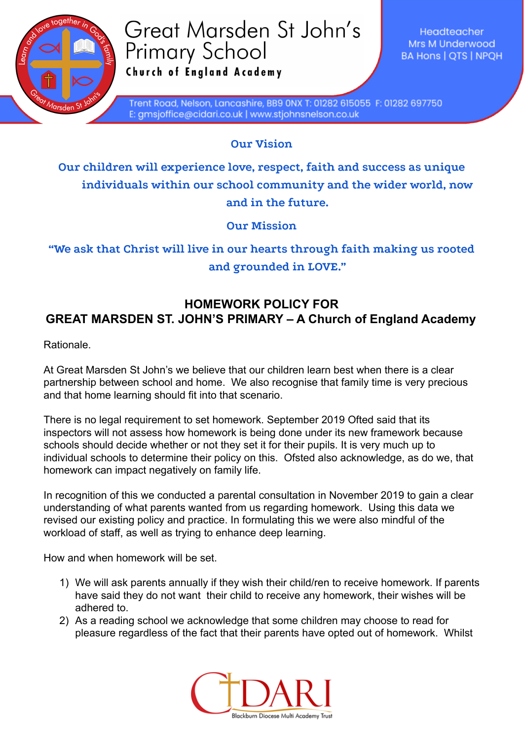

## Great Marsden St John's **Primary School** Church of England Academy

Headteacher Mrs M Underwood **BA Hons | QTS | NPQH** 

Trent Road, Nelson, Lancashire, BB9 0NX T: 01282 615055 F: 01282 697750 E: gmsjoffice@cidari.co.uk | www.stjohnsnelson.co.uk

**Our Vision**

**Our children will experience love, respect, faith and success as unique individuals within our school community and the wider world, now and in the future.**

**Our Mission**

**"We ask that Christ will live in our hearts through faith making us rooted and grounded in LOVE."**

## **HOMEWORK POLICY FOR GREAT MARSDEN ST. JOHN'S PRIMARY – A Church of England Academy**

Rationale.

At Great Marsden St John's we believe that our children learn best when there is a clear partnership between school and home. We also recognise that family time is very precious and that home learning should fit into that scenario.

There is no legal requirement to set homework. September 2019 Ofted said that its inspectors will not assess how homework is being done under its new framework because schools should decide whether or not they set it for their pupils. It is very much up to individual schools to determine their policy on this. Ofsted also acknowledge, as do we, that homework can impact negatively on family life.

In recognition of this we conducted a parental consultation in November 2019 to gain a clear understanding of what parents wanted from us regarding homework. Using this data we revised our existing policy and practice. In formulating this we were also mindful of the workload of staff, as well as trying to enhance deep learning.

How and when homework will be set.

- 1) We will ask parents annually if they wish their child/ren to receive homework. If parents have said they do not want their child to receive any homework, their wishes will be adhered to.
- 2) As a reading school we acknowledge that some children may choose to read for pleasure regardless of the fact that their parents have opted out of homework. Whilst

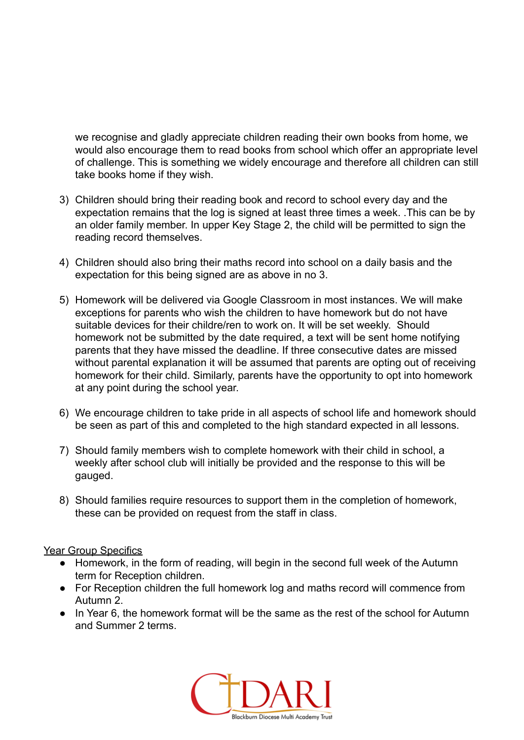we recognise and gladly appreciate children reading their own books from home, we would also encourage them to read books from school which offer an appropriate level of challenge. This is something we widely encourage and therefore all children can still take books home if they wish.

- 3) Children should bring their reading book and record to school every day and the expectation remains that the log is signed at least three times a week. .This can be by an older family member. In upper Key Stage 2, the child will be permitted to sign the reading record themselves.
- 4) Children should also bring their maths record into school on a daily basis and the expectation for this being signed are as above in no 3.
- 5) Homework will be delivered via Google Classroom in most instances. We will make exceptions for parents who wish the children to have homework but do not have suitable devices for their childre/ren to work on. It will be set weekly. Should homework not be submitted by the date required, a text will be sent home notifying parents that they have missed the deadline. If three consecutive dates are missed without parental explanation it will be assumed that parents are opting out of receiving homework for their child. Similarly, parents have the opportunity to opt into homework at any point during the school year.
- 6) We encourage children to take pride in all aspects of school life and homework should be seen as part of this and completed to the high standard expected in all lessons.
- 7) Should family members wish to complete homework with their child in school, a weekly after school club will initially be provided and the response to this will be gauged.
- 8) Should families require resources to support them in the completion of homework, these can be provided on request from the staff in class.

## Year Group Specifics

- Homework, in the form of reading, will begin in the second full week of the Autumn term for Reception children.
- For Reception children the full homework log and maths record will commence from Autumn 2.
- In Year 6, the homework format will be the same as the rest of the school for Autumn and Summer 2 terms.